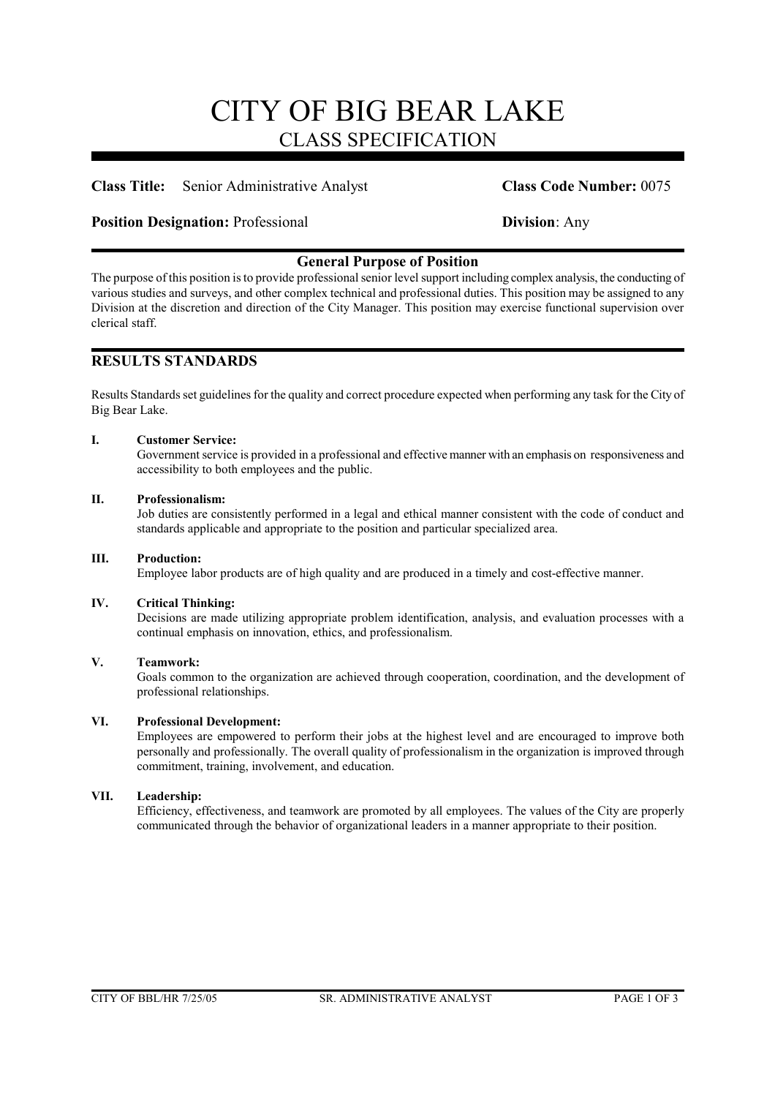# CITY OF BIG BEAR LAKE CLASS SPECIFICATION

# **Class Title:** Senior Administrative Analyst **Class Code Number:** 0075

### **Position Designation:** Professional **Division**: Any

# **General Purpose of Position**

The purpose of this position is to provide professional senior level support including complex analysis, the conducting of various studies and surveys, and other complex technical and professional duties. This position may be assigned to any Division at the discretion and direction of the City Manager. This position may exercise functional supervision over clerical staff.

# **RESULTS STANDARDS**

Results Standards set guidelines for the quality and correct procedure expected when performing any task for the City of Big Bear Lake.

#### **I. Customer Service:**

Government service is provided in a professional and effective manner with an emphasis on responsiveness and accessibility to both employees and the public.

#### **II. Professionalism:**

Job duties are consistently performed in a legal and ethical manner consistent with the code of conduct and standards applicable and appropriate to the position and particular specialized area.

#### **III. Production:**

Employee labor products are of high quality and are produced in a timely and cost-effective manner.

#### **IV. Critical Thinking:**

Decisions are made utilizing appropriate problem identification, analysis, and evaluation processes with a continual emphasis on innovation, ethics, and professionalism.

#### **V. Teamwork:**

Goals common to the organization are achieved through cooperation, coordination, and the development of professional relationships.

#### **VI. Professional Development:**

Employees are empowered to perform their jobs at the highest level and are encouraged to improve both personally and professionally. The overall quality of professionalism in the organization is improved through commitment, training, involvement, and education.

### **VII. Leadership:**

Efficiency, effectiveness, and teamwork are promoted by all employees. The values of the City are properly communicated through the behavior of organizational leaders in a manner appropriate to their position.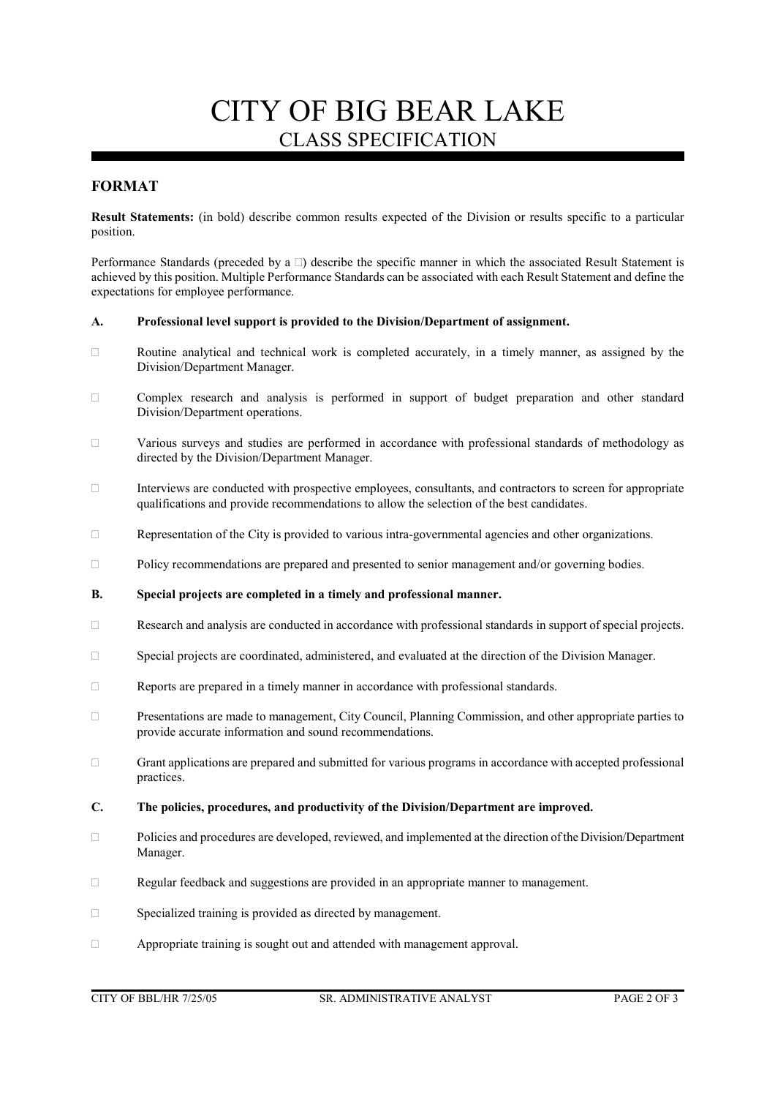# CITY OF BIG BEAR LAKE CLASS SPECIFICATION

# **FORMAT**

**Result Statements:** (in bold) describe common results expected of the Division or results specific to a particular position.

Performance Standards (preceded by a  $\Box$ ) describe the specific manner in which the associated Result Statement is achieved by this position. Multiple Performance Standards can be associated with each Result Statement and define the expectations for employee performance.

#### **A. Professional level support is provided to the Division/Department of assignment.**

- $\Box$  Routine analytical and technical work is completed accurately, in a timely manner, as assigned by the Division/Department Manager.
- Complex research and analysis is performed in support of budget preparation and other standard Division/Department operations.
- Various surveys and studies are performed in accordance with professional standards of methodology as directed by the Division/Department Manager.
- $\Box$  Interviews are conducted with prospective employees, consultants, and contractors to screen for appropriate qualifications and provide recommendations to allow the selection of the best candidates.
- Representation of the City is provided to various intra-governmental agencies and other organizations.
- $\Box$  Policy recommendations are prepared and presented to senior management and/or governing bodies.
- **B. Special projects are completed in a timely and professional manner.**
- Research and analysis are conducted in accordance with professional standards in support of special projects.
- Special projects are coordinated, administered, and evaluated at the direction of the Division Manager.
- $\Box$  Reports are prepared in a timely manner in accordance with professional standards.
- Presentations are made to management, City Council, Planning Commission, and other appropriate parties to provide accurate information and sound recommendations.
- Grant applications are prepared and submitted for various programs in accordance with accepted professional practices.
- **C. The policies, procedures, and productivity of the Division/Department are improved.**
- Policies and procedures are developed, reviewed, and implemented at the direction of the Division/Department Manager.
- Regular feedback and suggestions are provided in an appropriate manner to management.
- □ Specialized training is provided as directed by management.
- Appropriate training is sought out and attended with management approval.